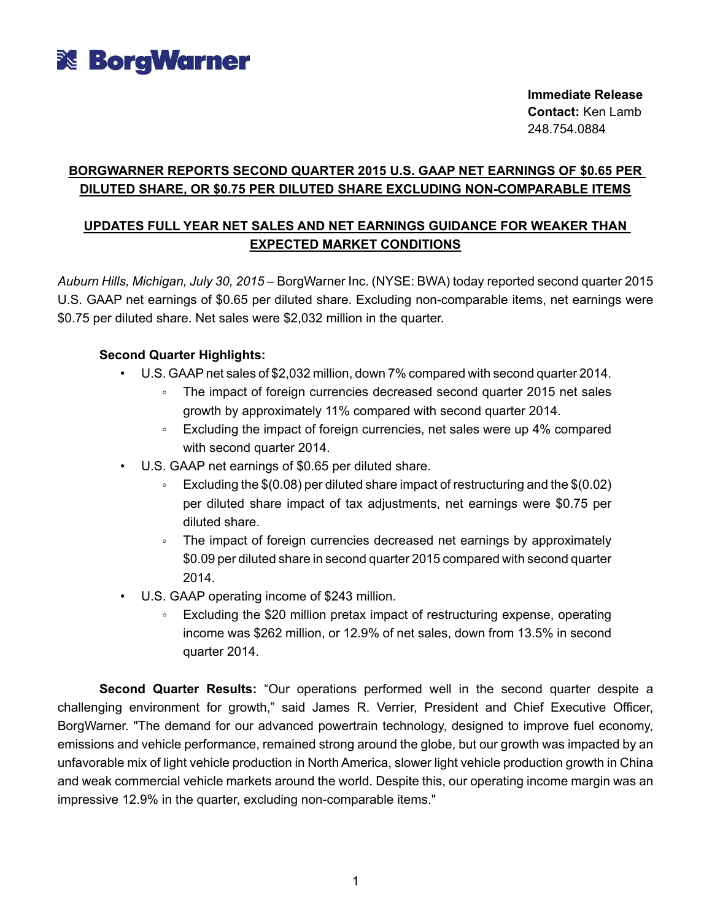

**Immediate Release Contact:** Ken Lamb 248.754.0884

## **BORGWARNER REPORTS SECOND QUARTER 2015 U.S. GAAP NET EARNINGS OF \$0.65 PER DILUTED SHARE, OR \$0.75 PER DILUTED SHARE EXCLUDING NON-COMPARABLE ITEMS**

## **UPDATES FULL YEAR NET SALES AND NET EARNINGS GUIDANCE FOR WEAKER THAN EXPECTED MARKET CONDITIONS**

*Auburn Hills, Michigan, July 30, 2015* – BorgWarner Inc. (NYSE: BWA) today reported second quarter 2015 U.S. GAAP net earnings of \$0.65 per diluted share. Excluding non-comparable items, net earnings were \$0.75 per diluted share. Net sales were \$2,032 million in the quarter.

## **Second Quarter Highlights:**

- U.S. GAAPnet sales of \$2,032 million, down 7% compared with second quarter 2014.
	- The impact of foreign currencies decreased second quarter 2015 net sales growth by approximately 11% compared with second quarter 2014.
	- $\textdegree$  Excluding the impact of foreign currencies, net sales were up 4% compared with second quarter 2014.
- U.S. GAAP net earnings of \$0.65 per diluted share.
	- Excluding the \$(0.08) per diluted share impact of restructuring and the \$(0.02) per diluted share impact of tax adjustments, net earnings were \$0.75 per diluted share.
	- The impact of foreign currencies decreased net earnings by approximately \$0.09 per diluted share in second quarter 2015 compared with second quarter 2014.
- U.S. GAAP operating income of \$243 million.
	- Excluding the \$20 million pretax impact of restructuring expense, operating  $\circ$ income was \$262 million, or 12.9% of net sales, down from 13.5% in second quarter 2014.

**Second Quarter Results:** "Our operations performed well in the second quarter despite a challenging environment for growth," said James R. Verrier, President and Chief Executive Officer, BorgWarner. "The demand for our advanced powertrain technology, designed to improve fuel economy, emissions and vehicle performance, remained strong around the globe, but our growth was impacted by an unfavorable mix of light vehicle production in North America, slower light vehicle production growth in China and weak commercial vehicle markets around the world. Despite this, our operating income margin was an impressive 12.9% in the quarter, excluding non-comparable items."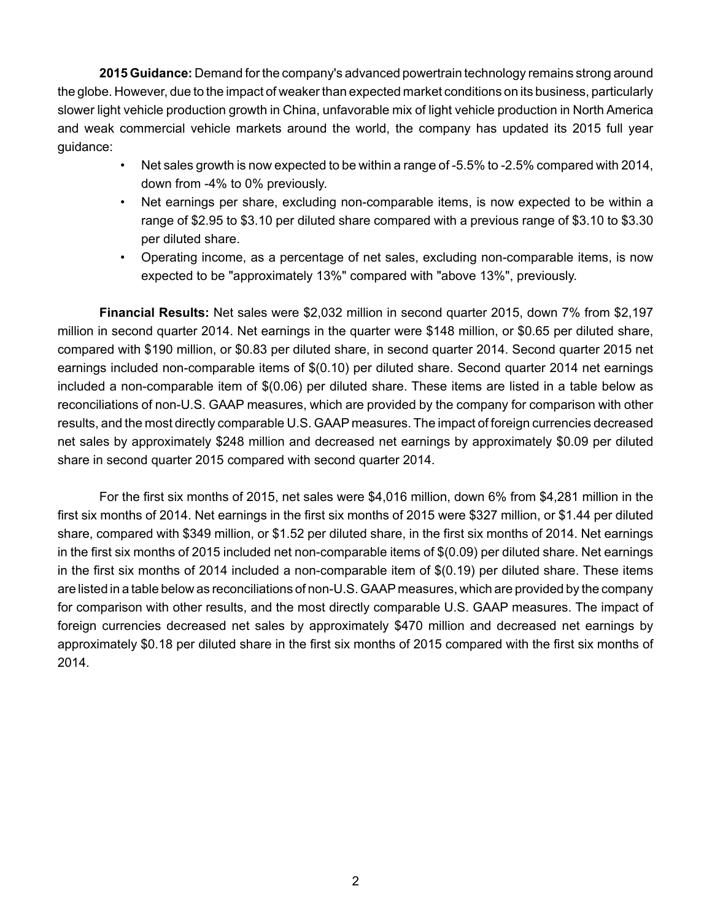**2015 Guidance:** Demand for the company's advanced powertrain technology remains strong around the globe. However, due to the impact of weaker than expected market conditions on its business, particularly slower light vehicle production growth in China, unfavorable mix of light vehicle production in North America and weak commercial vehicle markets around the world, the company has updated its 2015 full year guidance:

- Net sales growth is now expected to be within a range of -5.5% to -2.5% compared with 2014, down from -4% to 0% previously.
- Net earnings per share, excluding non-comparable items, is now expected to be within a range of \$2.95 to \$3.10 per diluted share compared with a previous range of \$3.10 to \$3.30 per diluted share.
- Operating income, as a percentage of net sales, excluding non-comparable items, is now expected to be "approximately 13%" compared with "above 13%", previously.

**Financial Results:** Net sales were \$2,032 million in second quarter 2015, down 7% from \$2,197 million in second quarter 2014. Net earnings in the quarter were \$148 million, or \$0.65 per diluted share, compared with \$190 million, or \$0.83 per diluted share, in second quarter 2014. Second quarter 2015 net earnings included non-comparable items of \$(0.10) per diluted share. Second quarter 2014 net earnings included a non-comparable item of \$(0.06) per diluted share. These items are listed in a table below as reconciliations of non-U.S. GAAP measures, which are provided by the company for comparison with other results, and the most directly comparable U.S. GAAP measures. The impact of foreign currencies decreased net sales by approximately \$248 million and decreased net earnings by approximately \$0.09 per diluted share in second quarter 2015 compared with second quarter 2014.

For the first six months of 2015, net sales were \$4,016 million, down 6% from \$4,281 million in the first six months of 2014. Net earnings in the first six months of 2015 were \$327 million, or \$1.44 per diluted share, compared with \$349 million, or \$1.52 per diluted share, in the first six months of 2014. Net earnings in the first six months of 2015 included net non-comparable items of \$(0.09) per diluted share. Net earnings in the first six months of 2014 included a non-comparable item of \$(0.19) per diluted share. These items are listed in a table below as reconciliations of non-U.S. GAAP measures, which are provided by the company for comparison with other results, and the most directly comparable U.S. GAAP measures. The impact of foreign currencies decreased net sales by approximately \$470 million and decreased net earnings by approximately \$0.18 per diluted share in the first six months of 2015 compared with the first six months of 2014.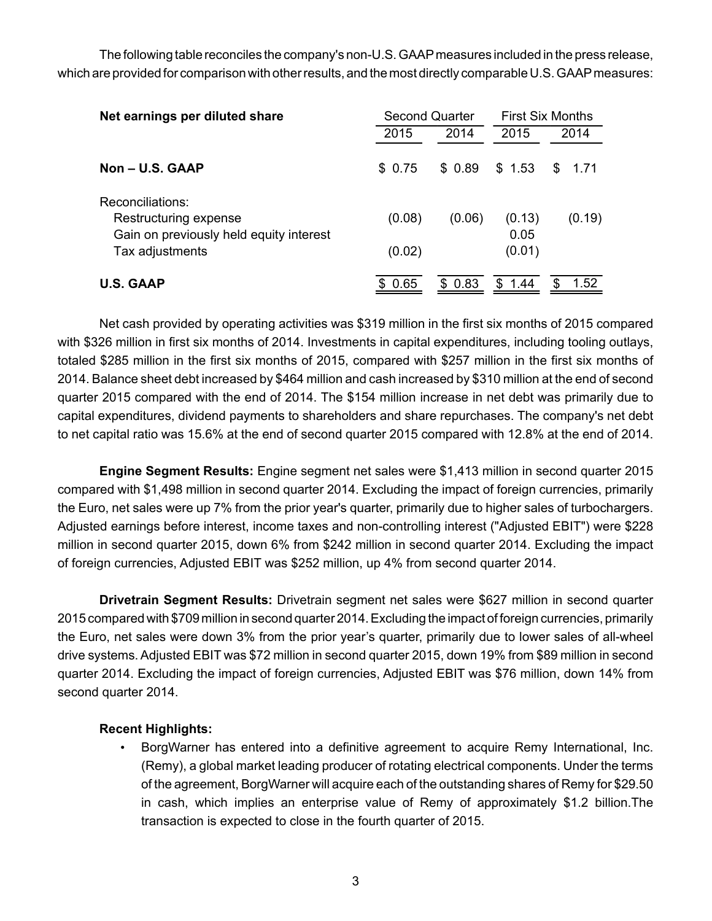The following table reconciles the company's non-U.S. GAAPmeasures included in the press release, which are provided for comparison with other results, and the most directly comparable U.S. GAAP measures:

| Net earnings per diluted share                                   | <b>Second Quarter</b> |        | <b>First Six Months</b> |            |  |  |  |
|------------------------------------------------------------------|-----------------------|--------|-------------------------|------------|--|--|--|
|                                                                  | 2015                  | 2014   | 2015                    | 2014       |  |  |  |
| $Non - U.S. GAAP$                                                | \$ 0.75               | \$0.89 | \$1.53                  | 1.71<br>S. |  |  |  |
| Reconciliations:                                                 |                       |        |                         |            |  |  |  |
| Restructuring expense<br>Gain on previously held equity interest | (0.08)                | (0.06) | (0.13)<br>0.05          | (0.19)     |  |  |  |
| Tax adjustments                                                  | (0.02)                |        | (0.01)                  |            |  |  |  |
| <b>U.S. GAAP</b>                                                 | \$0.65                | \$0.83 | \$.<br>1.44             | 1.52<br>\$ |  |  |  |

Net cash provided by operating activities was \$319 million in the first six months of 2015 compared with \$326 million in first six months of 2014. Investments in capital expenditures, including tooling outlays, totaled \$285 million in the first six months of 2015, compared with \$257 million in the first six months of 2014. Balance sheet debt increased by \$464 million and cash increased by \$310 million at the end of second quarter 2015 compared with the end of 2014. The \$154 million increase in net debt was primarily due to capital expenditures, dividend payments to shareholders and share repurchases. The company's net debt to net capital ratio was 15.6% at the end of second quarter 2015 compared with 12.8% at the end of 2014.

**Engine Segment Results:** Engine segment net sales were \$1,413 million in second quarter 2015 compared with \$1,498 million in second quarter 2014. Excluding the impact of foreign currencies, primarily the Euro, net sales were up 7% from the prior year's quarter, primarily due to higher sales of turbochargers. Adjusted earnings before interest, income taxes and non-controlling interest ("Adjusted EBIT") were \$228 million in second quarter 2015, down 6% from \$242 million in second quarter 2014. Excluding the impact of foreign currencies, Adjusted EBIT was \$252 million, up 4% from second quarter 2014.

**Drivetrain Segment Results:** Drivetrain segment net sales were \$627 million in second quarter 2015 compared with \$709 million in second quarter 2014. Excluding the impact of foreign currencies, primarily the Euro, net sales were down 3% from the prior year's quarter, primarily due to lower sales of all-wheel drive systems. Adjusted EBIT was \$72 million in second quarter 2015, down 19% from \$89 million in second quarter 2014. Excluding the impact of foreign currencies, Adjusted EBIT was \$76 million, down 14% from second quarter 2014.

## **Recent Highlights:**

• BorgWarner has entered into a definitive agreement to acquire Remy International, Inc. (Remy), a global market leading producer of rotating electrical components. Under the terms of the agreement, BorgWarner will acquire each of the outstanding shares of Remy for \$29.50 in cash, which implies an enterprise value of Remy of approximately \$1.2 billion.The transaction is expected to close in the fourth quarter of 2015.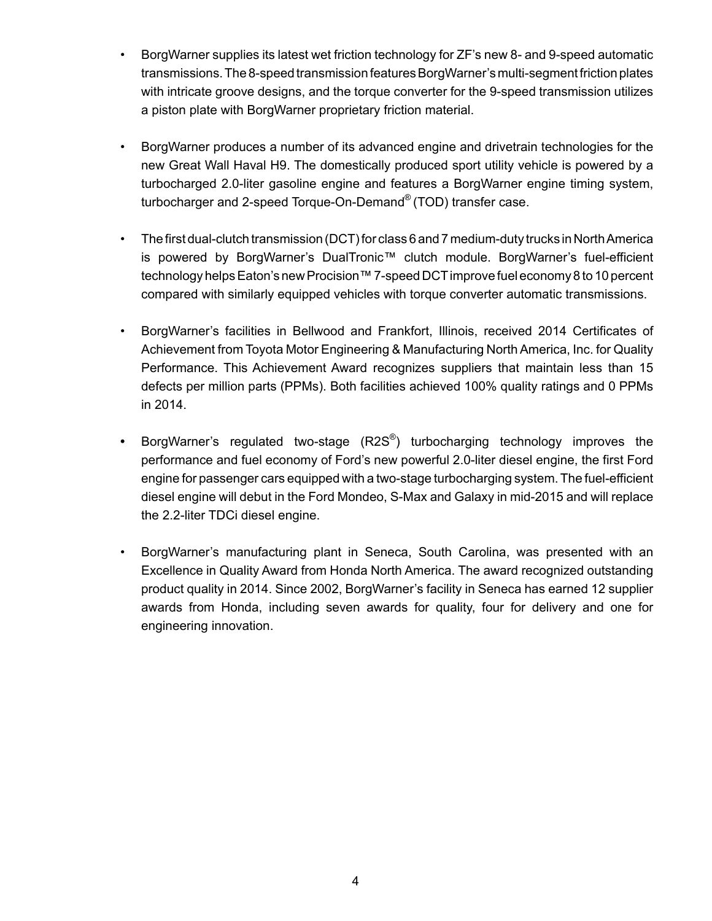- BorgWarner supplies its latest wet friction technology for ZF's new 8- and 9-speed automatic transmissions. The 8-speed transmission features BorgWarner's multi-segment friction plates with intricate groove designs, and the torque converter for the 9-speed transmission utilizes a piston plate with BorgWarner proprietary friction material.
- BorgWarner produces a number of its advanced engine and drivetrain technologies for the new Great Wall Haval H9. The domestically produced sport utility vehicle is powered by a turbocharged 2.0-liter gasoline engine and features a BorgWarner engine timing system, turbocharger and 2-speed Torque-On-Demand® (TOD) transfer case.
- The first dual-clutch transmission (DCT) for class 6 and 7 medium-duty trucks in North America is powered by BorgWarner's DualTronic™ clutch module. BorgWarner's fuel-efficient technology helps Eaton's new Procision™ 7-speed DCTimprove fuel economy 8 to 10 percent compared with similarly equipped vehicles with torque converter automatic transmissions.
- BorgWarner's facilities in Bellwood and Frankfort, Illinois, received 2014 Certificates of Achievement from Toyota Motor Engineering & Manufacturing North America, Inc. for Quality Performance. This Achievement Award recognizes suppliers that maintain less than 15 defects per million parts (PPMs). Both facilities achieved 100% quality ratings and 0 PPMs in 2014.
- BorgWarner's regulated two-stage (R2S® ) turbocharging technology improves the performance and fuel economy of Ford's new powerful 2.0-liter diesel engine, the first Ford engine for passenger cars equipped with a two-stage turbocharging system. The fuel-efficient diesel engine will debut in the Ford Mondeo, S-Max and Galaxy in mid-2015 and will replace the 2.2-liter TDCi diesel engine.
- BorgWarner's manufacturing plant in Seneca, South Carolina, was presented with an Excellence in Quality Award from Honda North America. The award recognized outstanding product quality in 2014. Since 2002, BorgWarner's facility in Seneca has earned 12 supplier awards from Honda, including seven awards for quality, four for delivery and one for engineering innovation.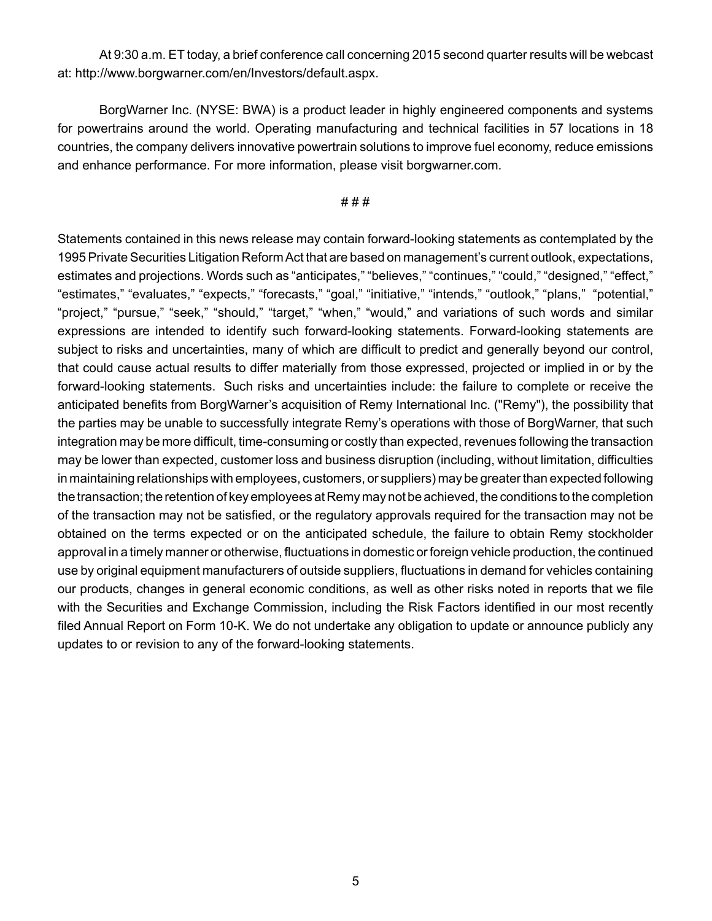At 9:30 a.m. ET today, a brief conference call concerning 2015 second quarter results will be webcast at: http://www.borgwarner.com/en/Investors/default.aspx.

BorgWarner Inc. (NYSE: BWA) is a product leader in highly engineered components and systems for powertrains around the world. Operating manufacturing and technical facilities in 57 locations in 18 countries, the company delivers innovative powertrain solutions to improve fuel economy, reduce emissions and enhance performance. For more information, please visit borgwarner.com.

#### # # #

Statements contained in this news release may contain forward-looking statements as contemplated by the 1995 Private Securities Litigation Reform Act that are based on management's current outlook, expectations, estimates and projections. Words such as "anticipates," "believes," "continues," "could," "designed," "effect," "estimates," "evaluates," "expects," "forecasts," "goal," "initiative," "intends," "outlook," "plans," "potential," "project," "pursue," "seek," "should," "target," "when," "would," and variations of such words and similar expressions are intended to identify such forward-looking statements. Forward-looking statements are subject to risks and uncertainties, many of which are difficult to predict and generally beyond our control, that could cause actual results to differ materially from those expressed, projected or implied in or by the forward-looking statements. Such risks and uncertainties include: the failure to complete or receive the anticipated benefits from BorgWarner's acquisition of Remy International Inc. ("Remy"), the possibility that the parties may be unable to successfully integrate Remy's operations with those of BorgWarner, that such integration may be more difficult, time-consuming or costly than expected, revenues following the transaction may be lower than expected, customer loss and business disruption (including, without limitation, difficulties in maintaining relationships with employees, customers, or suppliers) may be greater than expected following the transaction; the retention of key employees at Remy may not be achieved, the conditions to the completion of the transaction may not be satisfied, or the regulatory approvals required for the transaction may not be obtained on the terms expected or on the anticipated schedule, the failure to obtain Remy stockholder approval in a timely manner or otherwise, fluctuations in domestic or foreign vehicle production, the continued use by original equipment manufacturers of outside suppliers, fluctuations in demand for vehicles containing our products, changes in general economic conditions, as well as other risks noted in reports that we file with the Securities and Exchange Commission, including the Risk Factors identified in our most recently filed Annual Report on Form 10-K. We do not undertake any obligation to update or announce publicly any updates to or revision to any of the forward-looking statements.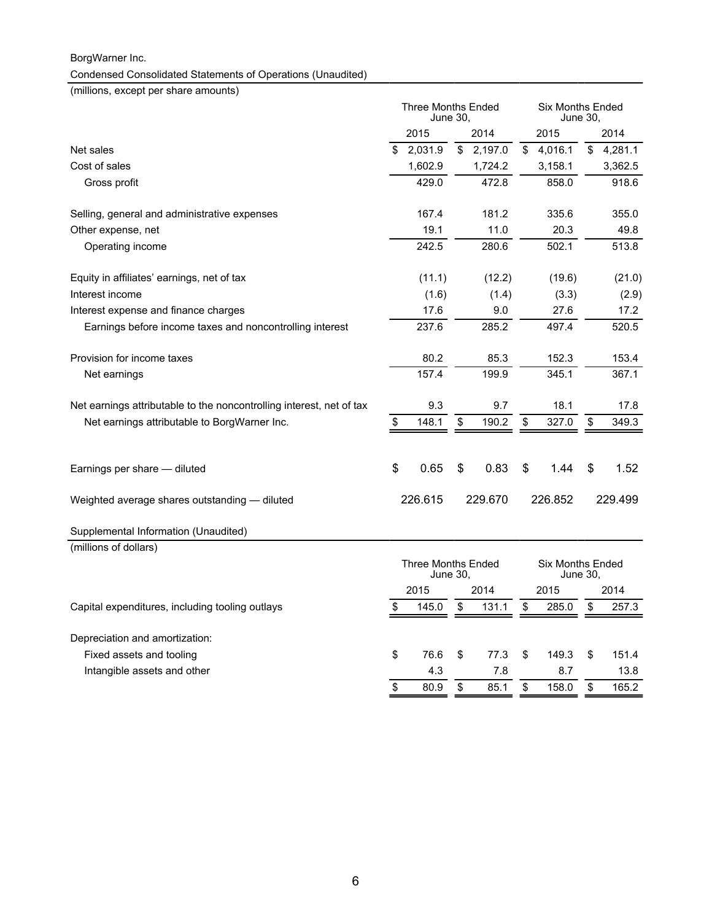## BorgWarner Inc. Condensed Consolidated Statements of Operations (Unaudited)

(millions, except per share amounts)

|                                                                      | <b>Three Months Ended</b><br>June 30. |         |      | <b>Six Months Ended</b><br>June 30, |                                     |         |    |         |
|----------------------------------------------------------------------|---------------------------------------|---------|------|-------------------------------------|-------------------------------------|---------|----|---------|
|                                                                      | 2015<br>2014                          |         | 2015 |                                     |                                     | 2014    |    |         |
| Net sales                                                            | \$                                    | 2,031.9 | \$   | 2,197.0                             | \$                                  | 4,016.1 | \$ | 4,281.1 |
| Cost of sales                                                        |                                       | 1,602.9 |      | 1,724.2                             |                                     | 3,158.1 |    | 3,362.5 |
| Gross profit                                                         |                                       | 429.0   |      | 472.8                               |                                     | 858.0   |    | 918.6   |
| Selling, general and administrative expenses                         |                                       | 167.4   |      | 181.2                               |                                     | 335.6   |    | 355.0   |
| Other expense, net                                                   |                                       | 19.1    |      | 11.0                                |                                     | 20.3    |    | 49.8    |
| Operating income                                                     |                                       | 242.5   |      | 280.6                               |                                     | 502.1   |    | 513.8   |
| Equity in affiliates' earnings, net of tax                           |                                       | (11.1)  |      | (12.2)                              |                                     | (19.6)  |    | (21.0)  |
| Interest income                                                      |                                       | (1.6)   |      | (1.4)                               |                                     | (3.3)   |    | (2.9)   |
| Interest expense and finance charges                                 |                                       | 17.6    |      | 9.0                                 |                                     | 27.6    |    | 17.2    |
| Earnings before income taxes and noncontrolling interest             |                                       | 237.6   |      | 285.2                               |                                     | 497.4   |    | 520.5   |
| Provision for income taxes                                           |                                       | 80.2    |      | 85.3                                |                                     | 152.3   |    | 153.4   |
| Net earnings                                                         |                                       | 157.4   |      | 199.9                               |                                     | 345.1   |    | 367.1   |
| Net earnings attributable to the noncontrolling interest, net of tax |                                       | 9.3     |      | 9.7                                 |                                     | 18.1    |    | 17.8    |
| Net earnings attributable to BorgWarner Inc.                         | \$                                    | 148.1   | \$   | 190.2                               | \$                                  | 327.0   | \$ | 349.3   |
| Earnings per share - diluted                                         | $\mathfrak{S}$                        | 0.65    | \$   | 0.83                                | \$                                  | 1.44    | \$ | 1.52    |
| Weighted average shares outstanding - diluted                        |                                       | 226.615 |      | 229.670                             |                                     | 226.852 |    | 229.499 |
| Supplemental Information (Unaudited)                                 |                                       |         |      |                                     |                                     |         |    |         |
| (millions of dollars)                                                |                                       |         |      |                                     |                                     |         |    |         |
|                                                                      | <b>Three Months Ended</b><br>June 30. |         |      |                                     | <b>Six Months Ended</b><br>June 30. |         |    |         |
|                                                                      |                                       | 2015    |      | 2014                                |                                     | 2015    |    | 2014    |
| Capital expenditures, including tooling outlays                      | \$                                    | 145.0   | \$   | 131.1                               | \$                                  | 285.0   | \$ | 257.3   |

| 76.6 |      |          |         | 151.4    |
|------|------|----------|---------|----------|
| 4.3  | 7.8  |          | 8.7     | 13.8     |
| 80.9 | 85.1 | \$       | 158.0   | 165.2    |
|      |      | <b>S</b> | 77.3 \$ | 149.3 \$ |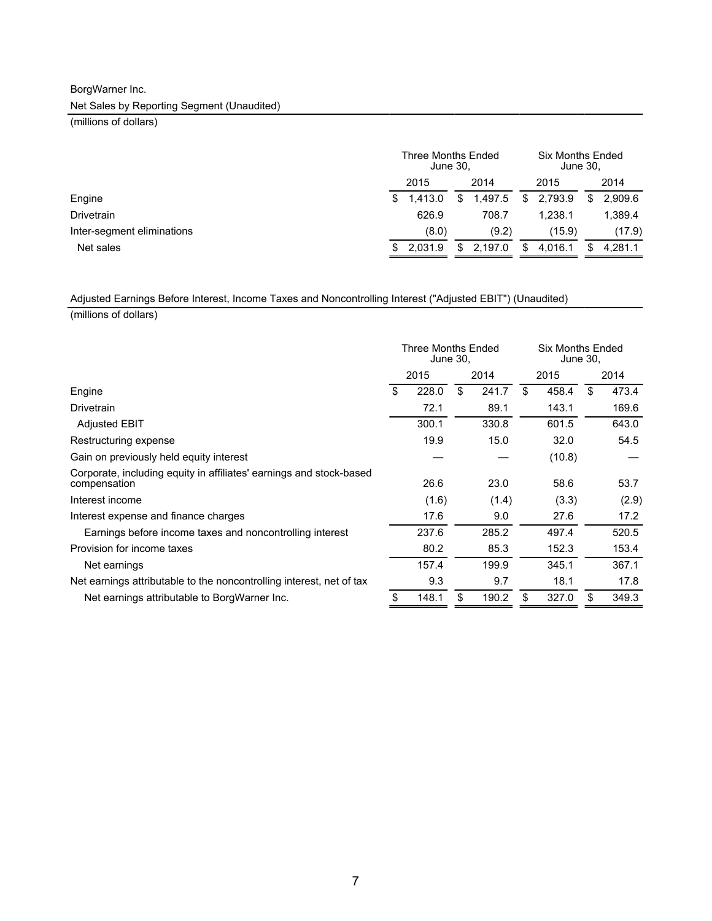# BorgWarner Inc.

Net Sales by Reporting Segment (Unaudited)

(millions of dollars)

|                            | Three Months Ended<br>June 30, |         |     | <b>Six Months Ended</b><br>June 30, |     |         |    |         |
|----------------------------|--------------------------------|---------|-----|-------------------------------------|-----|---------|----|---------|
|                            |                                | 2015    |     | 2014                                |     | 2015    |    | 2014    |
| Engine                     | \$.                            | 1.413.0 | \$. | 1.497.5                             | S   | 2.793.9 | S. | 2.909.6 |
| <b>Drivetrain</b>          |                                | 626.9   |     | 708.7                               |     | 1.238.1 |    | 1.389.4 |
| Inter-segment eliminations |                                | (8.0)   |     | (9.2)                               |     | (15.9)  |    | (17.9)  |
| Net sales                  | S                              | 2.031.9 | \$. | 2.197.0                             | \$. | 4.016.1 |    | 4.281.1 |

### Adjusted Earnings Before Interest, Income Taxes and Noncontrolling Interest ("Adjusted EBIT") (Unaudited)

(millions of dollars)

|                                                                                     | Three Months Ended<br>June 30, |       |    | <b>Six Months Ended</b><br>June 30, |    |        |    |       |
|-------------------------------------------------------------------------------------|--------------------------------|-------|----|-------------------------------------|----|--------|----|-------|
|                                                                                     |                                | 2015  |    | 2014                                |    | 2015   |    | 2014  |
| Engine                                                                              | \$                             | 228.0 | \$ | 241.7                               | \$ | 458.4  | \$ | 473.4 |
| Drivetrain                                                                          |                                | 72.1  |    | 89.1                                |    | 143.1  |    | 169.6 |
| <b>Adjusted EBIT</b>                                                                |                                | 300.1 |    | 330.8                               |    | 601.5  |    | 643.0 |
| Restructuring expense                                                               |                                | 19.9  |    | 15.0                                |    | 32.0   |    | 54.5  |
| Gain on previously held equity interest                                             |                                |       |    |                                     |    | (10.8) |    |       |
| Corporate, including equity in affiliates' earnings and stock-based<br>compensation |                                | 26.6  |    | 23.0                                |    | 58.6   |    | 53.7  |
| Interest income                                                                     |                                | (1.6) |    | (1.4)                               |    | (3.3)  |    | (2.9) |
| Interest expense and finance charges                                                |                                | 17.6  |    | 9.0                                 |    | 27.6   |    | 17.2  |
| Earnings before income taxes and noncontrolling interest                            |                                | 237.6 |    | 285.2                               |    | 497.4  |    | 520.5 |
| Provision for income taxes                                                          |                                | 80.2  |    | 85.3                                |    | 152.3  |    | 153.4 |
| Net earnings                                                                        |                                | 157.4 |    | 199.9                               |    | 345.1  |    | 367.1 |
| Net earnings attributable to the noncontrolling interest, net of tax                |                                | 9.3   |    | 9.7                                 |    | 18.1   |    | 17.8  |
| Net earnings attributable to BorgWarner Inc.                                        | \$                             | 148.1 | \$ | 190.2                               | \$ | 327.0  | \$ | 349.3 |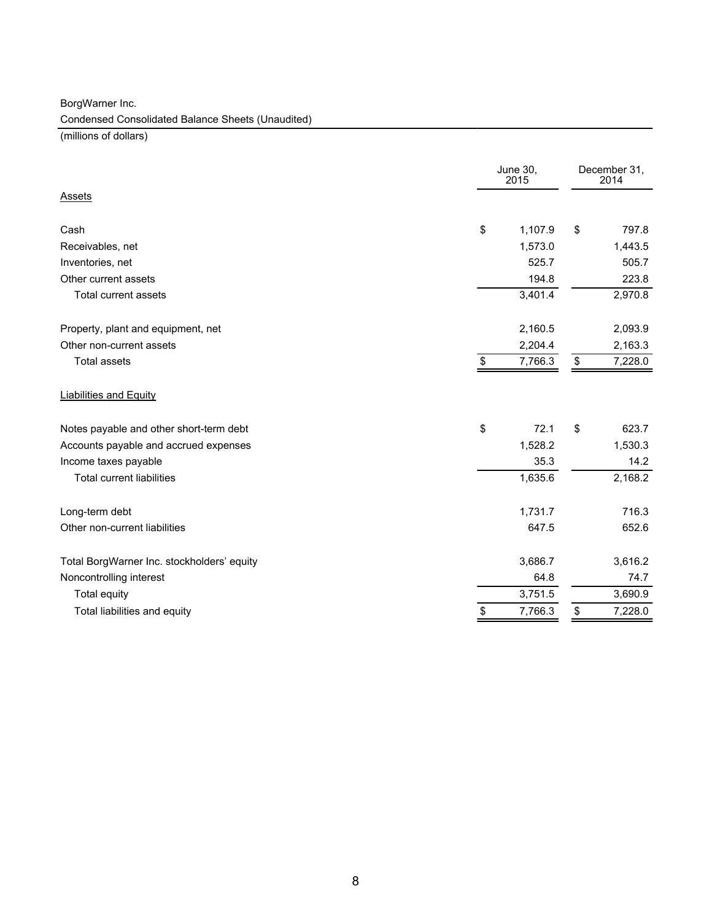BorgWarner Inc.

Condensed Consolidated Balance Sheets (Unaudited)

(millions of dollars)

|                                            | June 30,<br>2015 |                   | December 31,<br>2014 |
|--------------------------------------------|------------------|-------------------|----------------------|
| Assets                                     |                  |                   |                      |
| Cash                                       | \$<br>1,107.9    | \$                | 797.8                |
| Receivables, net                           | 1,573.0          |                   | 1,443.5              |
| Inventories, net                           | 525.7            |                   | 505.7                |
| Other current assets                       | 194.8            |                   | 223.8                |
| Total current assets                       | 3,401.4          |                   | 2,970.8              |
| Property, plant and equipment, net         | 2,160.5          |                   | 2,093.9              |
| Other non-current assets                   | 2,204.4          |                   | 2,163.3              |
| <b>Total assets</b>                        | \$<br>7,766.3    | $\boldsymbol{\$}$ | 7,228.0              |
| <b>Liabilities and Equity</b>              |                  |                   |                      |
| Notes payable and other short-term debt    | \$<br>72.1       | \$                | 623.7                |
| Accounts payable and accrued expenses      | 1,528.2          |                   | 1,530.3              |
| Income taxes payable                       | 35.3             |                   | 14.2                 |
| <b>Total current liabilities</b>           | 1,635.6          |                   | 2,168.2              |
| Long-term debt                             | 1,731.7          |                   | 716.3                |
| Other non-current liabilities              | 647.5            |                   | 652.6                |
| Total BorgWarner Inc. stockholders' equity | 3,686.7          |                   | 3,616.2              |
| Noncontrolling interest                    | 64.8             |                   | 74.7                 |
| Total equity                               | 3,751.5          |                   | 3,690.9              |
| Total liabilities and equity               | \$<br>7,766.3    | \$                | 7,228.0              |